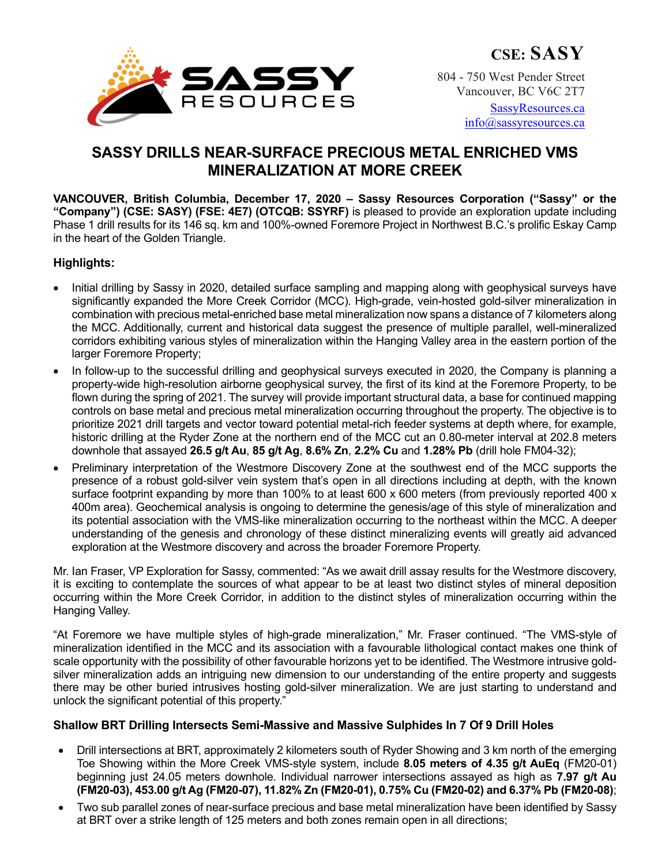

804 - 750 West Pender Street Vancouver, BC V6C 2T7

> SassyResources.ca info@sassyresources.ca

# **SASSY DRILLS NEAR-SURFACE PRECIOUS METAL ENRICHED VMS MINERALIZATION AT MORE CREEK**

**VANCOUVER, British Columbia, December 17, 2020 – Sassy Resources Corporation ("Sassy" or the "Company") (CSE: SASY) (FSE: 4E7) (OTCQB: SSYRF)** is pleased to provide an exploration update including Phase 1 drill results for its 146 sq. km and 100%-owned Foremore Project in Northwest B.C.'s prolific Eskay Camp in the heart of the Golden Triangle.

#### **Highlights:**

- Initial drilling by Sassy in 2020, detailed surface sampling and mapping along with geophysical surveys have significantly expanded the More Creek Corridor (MCC). High-grade, vein-hosted gold-silver mineralization in combination with precious metal-enriched base metal mineralization now spans a distance of 7 kilometers along the MCC. Additionally, current and historical data suggest the presence of multiple parallel, well-mineralized corridors exhibiting various styles of mineralization within the Hanging Valley area in the eastern portion of the larger Foremore Property;
- In follow-up to the successful drilling and geophysical surveys executed in 2020, the Company is planning a property-wide high-resolution airborne geophysical survey, the first of its kind at the Foremore Property, to be flown during the spring of 2021. The survey will provide important structural data, a base for continued mapping controls on base metal and precious metal mineralization occurring throughout the property. The objective is to prioritize 2021 drill targets and vector toward potential metal-rich feeder systems at depth where, for example, historic drilling at the Ryder Zone at the northern end of the MCC cut an 0.80-meter interval at 202.8 meters downhole that assayed **26.5 g/t Au**, **85 g/t Ag**, **8.6% Zn**, **2.2% Cu** and **1.28% Pb** (drill hole FM04-32);
- Preliminary interpretation of the Westmore Discovery Zone at the southwest end of the MCC supports the presence of a robust gold-silver vein system that's open in all directions including at depth, with the known surface footprint expanding by more than 100% to at least 600 x 600 meters (from previously reported 400 x 400m area). Geochemical analysis is ongoing to determine the genesis/age of this style of mineralization and its potential association with the VMS-like mineralization occurring to the northeast within the MCC. A deeper understanding of the genesis and chronology of these distinct mineralizing events will greatly aid advanced exploration at the Westmore discovery and across the broader Foremore Property.

Mr. Ian Fraser, VP Exploration for Sassy, commented: "As we await drill assay results for the Westmore discovery, it is exciting to contemplate the sources of what appear to be at least two distinct styles of mineral deposition occurring within the More Creek Corridor, in addition to the distinct styles of mineralization occurring within the Hanging Valley.

"At Foremore we have multiple styles of high-grade mineralization," Mr. Fraser continued. "The VMS-style of mineralization identified in the MCC and its association with a favourable lithological contact makes one think of scale opportunity with the possibility of other favourable horizons yet to be identified. The Westmore intrusive goldsilver mineralization adds an intriguing new dimension to our understanding of the entire property and suggests there may be other buried intrusives hosting gold-silver mineralization. We are just starting to understand and unlock the significant potential of this property."

## **Shallow BRT Drilling Intersects Semi-Massive and Massive Sulphides In 7 Of 9 Drill Holes**

- Drill intersections at BRT, approximately 2 kilometers south of Ryder Showing and 3 km north of the emerging Toe Showing within the More Creek VMS-style system, include **8.05 meters of 4.35 g/t AuEq** (FM20-01) beginning just 24.05 meters downhole. Individual narrower intersections assayed as high as **7.97 g/t Au (FM20-03), 453.00 g/t Ag (FM20-07), 11.82% Zn (FM20-01), 0.75% Cu (FM20-02) and 6.37% Pb (FM20-08)**;
- Two sub parallel zones of near-surface precious and base metal mineralization have been identified by Sassy at BRT over a strike length of 125 meters and both zones remain open in all directions;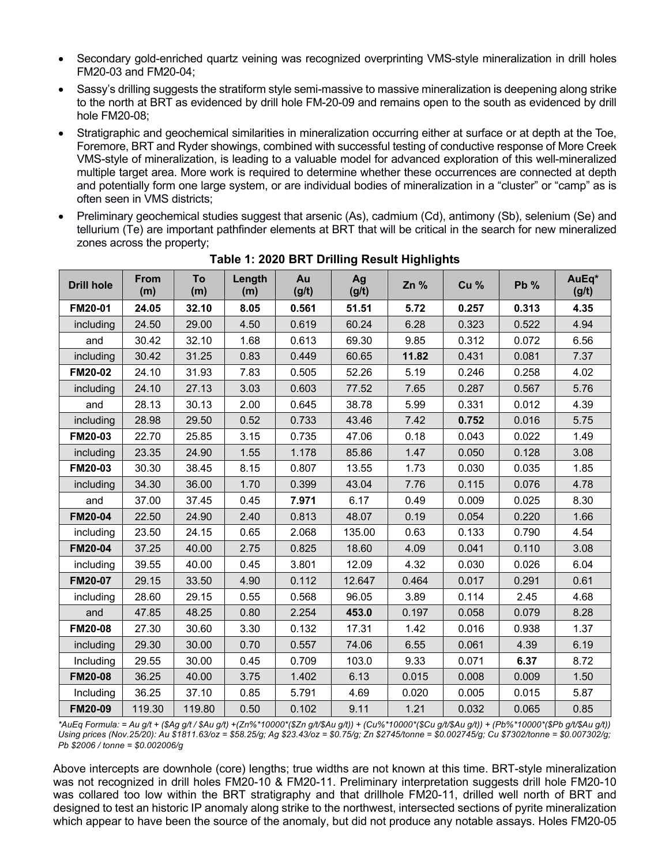- Secondary gold-enriched quartz veining was recognized overprinting VMS-style mineralization in drill holes FM20-03 and FM20-04;
- Sassy's drilling suggests the stratiform style semi-massive to massive mineralization is deepening along strike to the north at BRT as evidenced by drill hole FM-20-09 and remains open to the south as evidenced by drill hole FM20-08;
- Stratigraphic and geochemical similarities in mineralization occurring either at surface or at depth at the Toe, Foremore, BRT and Ryder showings, combined with successful testing of conductive response of More Creek VMS-style of mineralization, is leading to a valuable model for advanced exploration of this well-mineralized multiple target area. More work is required to determine whether these occurrences are connected at depth and potentially form one large system, or are individual bodies of mineralization in a "cluster" or "camp" as is often seen in VMS districts;
- Preliminary geochemical studies suggest that arsenic (As), cadmium (Cd), antimony (Sb), selenium (Se) and tellurium (Te) are important pathfinder elements at BRT that will be critical in the search for new mineralized zones across the property;

| <b>Drill hole</b> | <b>From</b><br>(m) | To<br>(m) | Length<br>(m) | Au<br>(g/t) | Ag<br>(g/t) | Zn %  | Cu %  | <b>Pb %</b> | AuEq*<br>(g/t) |
|-------------------|--------------------|-----------|---------------|-------------|-------------|-------|-------|-------------|----------------|
| FM20-01           | 24.05              | 32.10     | 8.05          | 0.561       | 51.51       | 5.72  | 0.257 | 0.313       | 4.35           |
| including         | 24.50              | 29.00     | 4.50          | 0.619       | 60.24       | 6.28  | 0.323 | 0.522       | 4.94           |
| and               | 30.42              | 32.10     | 1.68          | 0.613       | 69.30       | 9.85  | 0.312 | 0.072       | 6.56           |
| including         | 30.42              | 31.25     | 0.83          | 0.449       | 60.65       | 11.82 | 0.431 | 0.081       | 7.37           |
| <b>FM20-02</b>    | 24.10              | 31.93     | 7.83          | 0.505       | 52.26       | 5.19  | 0.246 | 0.258       | 4.02           |
| including         | 24.10              | 27.13     | 3.03          | 0.603       | 77.52       | 7.65  | 0.287 | 0.567       | 5.76           |
| and               | 28.13              | 30.13     | 2.00          | 0.645       | 38.78       | 5.99  | 0.331 | 0.012       | 4.39           |
| including         | 28.98              | 29.50     | 0.52          | 0.733       | 43.46       | 7.42  | 0.752 | 0.016       | 5.75           |
| FM20-03           | 22.70              | 25.85     | 3.15          | 0.735       | 47.06       | 0.18  | 0.043 | 0.022       | 1.49           |
| including         | 23.35              | 24.90     | 1.55          | 1.178       | 85.86       | 1.47  | 0.050 | 0.128       | 3.08           |
| FM20-03           | 30.30              | 38.45     | 8.15          | 0.807       | 13.55       | 1.73  | 0.030 | 0.035       | 1.85           |
| including         | 34.30              | 36.00     | 1.70          | 0.399       | 43.04       | 7.76  | 0.115 | 0.076       | 4.78           |
| and               | 37.00              | 37.45     | 0.45          | 7.971       | 6.17        | 0.49  | 0.009 | 0.025       | 8.30           |
| <b>FM20-04</b>    | 22.50              | 24.90     | 2.40          | 0.813       | 48.07       | 0.19  | 0.054 | 0.220       | 1.66           |
| including         | 23.50              | 24.15     | 0.65          | 2.068       | 135.00      | 0.63  | 0.133 | 0.790       | 4.54           |
| <b>FM20-04</b>    | 37.25              | 40.00     | 2.75          | 0.825       | 18.60       | 4.09  | 0.041 | 0.110       | 3.08           |
| including         | 39.55              | 40.00     | 0.45          | 3.801       | 12.09       | 4.32  | 0.030 | 0.026       | 6.04           |
| <b>FM20-07</b>    | 29.15              | 33.50     | 4.90          | 0.112       | 12.647      | 0.464 | 0.017 | 0.291       | 0.61           |
| including         | 28.60              | 29.15     | 0.55          | 0.568       | 96.05       | 3.89  | 0.114 | 2.45        | 4.68           |
| and               | 47.85              | 48.25     | 0.80          | 2.254       | 453.0       | 0.197 | 0.058 | 0.079       | 8.28           |
| <b>FM20-08</b>    | 27.30              | 30.60     | 3.30          | 0.132       | 17.31       | 1.42  | 0.016 | 0.938       | 1.37           |
| including         | 29.30              | 30.00     | 0.70          | 0.557       | 74.06       | 6.55  | 0.061 | 4.39        | 6.19           |
| Including         | 29.55              | 30.00     | 0.45          | 0.709       | 103.0       | 9.33  | 0.071 | 6.37        | 8.72           |
| <b>FM20-08</b>    | 36.25              | 40.00     | 3.75          | 1.402       | 6.13        | 0.015 | 0.008 | 0.009       | 1.50           |
| Including         | 36.25              | 37.10     | 0.85          | 5.791       | 4.69        | 0.020 | 0.005 | 0.015       | 5.87           |
| <b>FM20-09</b>    | 119.30             | 119.80    | 0.50          | 0.102       | 9.11        | 1.21  | 0.032 | 0.065       | 0.85           |

**Table 1: 2020 BRT Drilling Result Highlights**

*\*AuEq Formula: = Au g/t + (\$Ag g/t / \$Au g/t) +(Zn%\*10000\*(\$Zn g/t/\$Au g/t)) + (Cu%\*10000\*(\$Cu g/t/\$Au g/t)) + (Pb%\*10000\*(\$Pb g/t/\$Au g/t)) Using prices (Nov.25/20): Au \$1811.63/oz = \$58.25/g; Ag \$23.43/oz = \$0.75/g; Zn \$2745/tonne = \$0.002745/g; Cu \$7302/tonne = \$0.007302/g; Pb \$2006 / tonne = \$0.002006/g*

Above intercepts are downhole (core) lengths; true widths are not known at this time. BRT-style mineralization was not recognized in drill holes FM20-10 & FM20-11. Preliminary interpretation suggests drill hole FM20-10 was collared too low within the BRT stratigraphy and that drillhole FM20-11, drilled well north of BRT and designed to test an historic IP anomaly along strike to the northwest, intersected sections of pyrite mineralization which appear to have been the source of the anomaly, but did not produce any notable assays. Holes FM20-05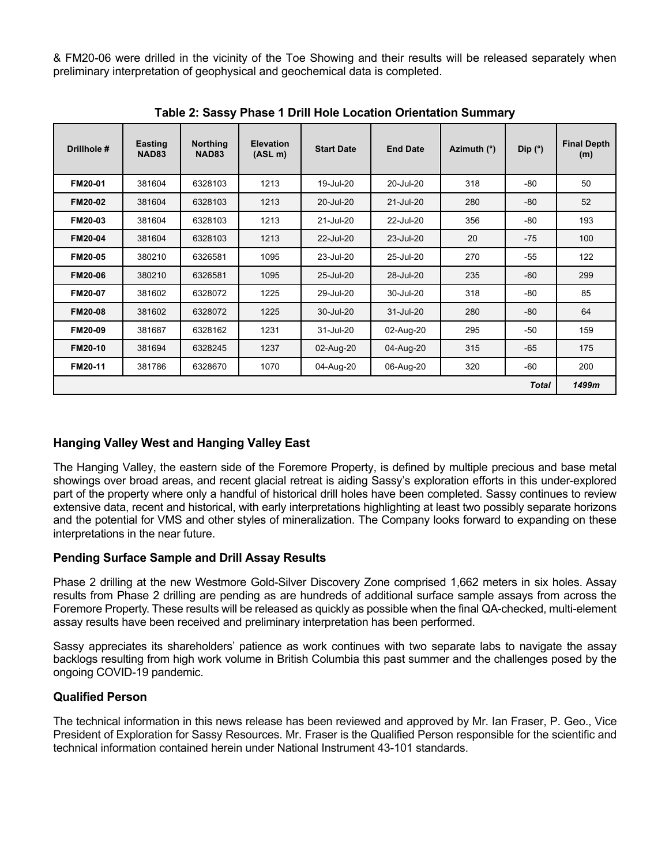& FM20-06 were drilled in the vicinity of the Toe Showing and their results will be released separately when preliminary interpretation of geophysical and geochemical data is completed.

| Drillhole #    | <b>Easting</b><br><b>NAD83</b> | <b>Northing</b><br><b>NAD83</b> | <b>Elevation</b><br>(ASL <sub>m</sub> ) | <b>Start Date</b> | <b>End Date</b> | Azimuth (°) | Dip (°) | <b>Final Depth</b><br>(m) |
|----------------|--------------------------------|---------------------------------|-----------------------------------------|-------------------|-----------------|-------------|---------|---------------------------|
| FM20-01        | 381604                         | 6328103                         | 1213                                    | 19-Jul-20         | 20-Jul-20       | 318         | -80     | 50                        |
| <b>FM20-02</b> | 381604                         | 6328103                         | 1213                                    | 20-Jul-20         | $21$ -Jul- $20$ | 280         | -80     | 52                        |
| FM20-03        | 381604                         | 6328103                         | 1213                                    | 21-Jul-20         | 22-Jul-20       | 356         | -80     | 193                       |
| <b>FM20-04</b> | 381604                         | 6328103                         | 1213                                    | 22-Jul-20         | 23-Jul-20       | 20          | $-75$   | 100                       |
| FM20-05        | 380210                         | 6326581                         | 1095                                    | 23-Jul-20         | 25-Jul-20       | 270         | $-55$   | 122                       |
| <b>FM20-06</b> | 380210                         | 6326581                         | 1095                                    | 25-Jul-20         | 28-Jul-20       | 235         | $-60$   | 299                       |
| FM20-07        | 381602                         | 6328072                         | 1225                                    | 29-Jul-20         | 30-Jul-20       | 318         | -80     | 85                        |
| <b>FM20-08</b> | 381602                         | 6328072                         | 1225                                    | 30-Jul-20         | 31-Jul-20       | 280         | $-80$   | 64                        |
| FM20-09        | 381687                         | 6328162                         | 1231                                    | 31-Jul-20         | 02-Aug-20       | 295         | -50     | 159                       |
| <b>FM20-10</b> | 381694                         | 6328245                         | 1237                                    | 02-Aug-20         | 04-Aug-20       | 315         | $-65$   | 175                       |
| FM20-11        | 381786                         | 6328670                         | 1070                                    | 04-Aug-20         | 06-Aug-20       | 320         | -60     | 200                       |
| <b>Total</b>   |                                |                                 |                                         |                   |                 |             |         |                           |

**Table 2: Sassy Phase 1 Drill Hole Location Orientation Summary**

## **Hanging Valley West and Hanging Valley East**

The Hanging Valley, the eastern side of the Foremore Property, is defined by multiple precious and base metal showings over broad areas, and recent glacial retreat is aiding Sassy's exploration efforts in this under-explored part of the property where only a handful of historical drill holes have been completed. Sassy continues to review extensive data, recent and historical, with early interpretations highlighting at least two possibly separate horizons and the potential for VMS and other styles of mineralization. The Company looks forward to expanding on these interpretations in the near future.

## **Pending Surface Sample and Drill Assay Results**

Phase 2 drilling at the new Westmore Gold-Silver Discovery Zone comprised 1,662 meters in six holes. Assay results from Phase 2 drilling are pending as are hundreds of additional surface sample assays from across the Foremore Property. These results will be released as quickly as possible when the final QA-checked, multi-element assay results have been received and preliminary interpretation has been performed.

Sassy appreciates its shareholders' patience as work continues with two separate labs to navigate the assay backlogs resulting from high work volume in British Columbia this past summer and the challenges posed by the ongoing COVID-19 pandemic.

## **Qualified Person**

The technical information in this news release has been reviewed and approved by Mr. Ian Fraser, P. Geo., Vice President of Exploration for Sassy Resources. Mr. Fraser is the Qualified Person responsible for the scientific and technical information contained herein under National Instrument 43-101 standards.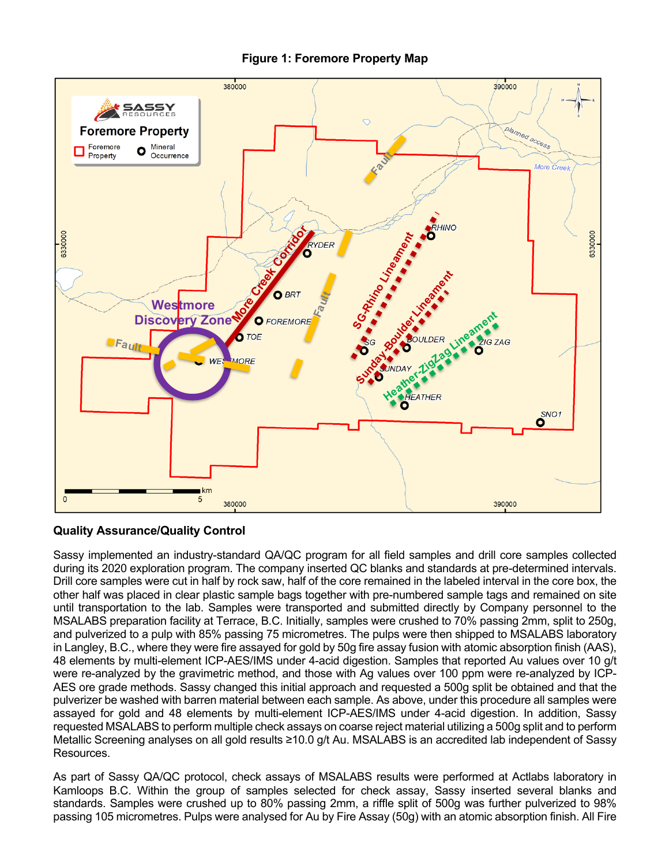



#### **Quality Assurance/Quality Control**

Sassy implemented an industry-standard QA/QC program for all field samples and drill core samples collected during its 2020 exploration program. The company inserted QC blanks and standards at pre-determined intervals. Drill core samples were cut in half by rock saw, half of the core remained in the labeled interval in the core box, the other half was placed in clear plastic sample bags together with pre-numbered sample tags and remained on site until transportation to the lab. Samples were transported and submitted directly by Company personnel to the MSALABS preparation facility at Terrace, B.C. Initially, samples were crushed to 70% passing 2mm, split to 250g, and pulverized to a pulp with 85% passing 75 micrometres. The pulps were then shipped to MSALABS laboratory in Langley, B.C., where they were fire assayed for gold by 50g fire assay fusion with atomic absorption finish (AAS), 48 elements by multi-element ICP-AES/IMS under 4-acid digestion. Samples that reported Au values over 10 g/t were re-analyzed by the gravimetric method, and those with Ag values over 100 ppm were re-analyzed by ICP-AES ore grade methods. Sassy changed this initial approach and requested a 500g split be obtained and that the pulverizer be washed with barren material between each sample. As above, under this procedure all samples were assayed for gold and 48 elements by multi-element ICP-AES/IMS under 4-acid digestion. In addition, Sassy requested MSALABS to perform multiple check assays on coarse reject material utilizing a 500g split and to perform Metallic Screening analyses on all gold results ≥10.0 g/t Au. MSALABS is an accredited lab independent of Sassy Resources.

As part of Sassy QA/QC protocol, check assays of MSALABS results were performed at Actlabs laboratory in Kamloops B.C. Within the group of samples selected for check assay, Sassy inserted several blanks and standards. Samples were crushed up to 80% passing 2mm, a riffle split of 500g was further pulverized to 98% passing 105 micrometres. Pulps were analysed for Au by Fire Assay (50g) with an atomic absorption finish. All Fire